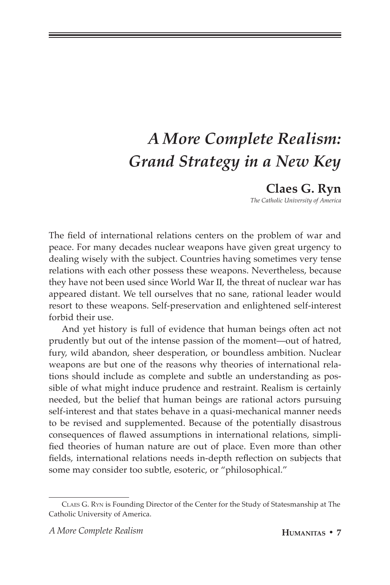# *A More Complete Realism: Grand Strategy in a New Key*

# **Claes G. Ryn**

*The Catholic University of America*

The field of international relations centers on the problem of war and peace. For many decades nuclear weapons have given great urgency to dealing wisely with the subject. Countries having sometimes very tense relations with each other possess these weapons. Nevertheless, because they have not been used since World War II, the threat of nuclear war has appeared distant. We tell ourselves that no sane, rational leader would resort to these weapons. Self-preservation and enlightened self-interest forbid their use.

And yet history is full of evidence that human beings often act not prudently but out of the intense passion of the moment—out of hatred, fury, wild abandon, sheer desperation, or boundless ambition. Nuclear weapons are but one of the reasons why theories of international relations should include as complete and subtle an understanding as possible of what might induce prudence and restraint. Realism is certainly needed, but the belief that human beings are rational actors pursuing self-interest and that states behave in a quasi-mechanical manner needs to be revised and supplemented. Because of the potentially disastrous consequences of flawed assumptions in international relations, simplified theories of human nature are out of place. Even more than other fields, international relations needs in-depth reflection on subjects that some may consider too subtle, esoteric, or "philosophical."

Claes G. Ryn is Founding Director of the Center for the Study of Statesmanship at The Catholic University of America.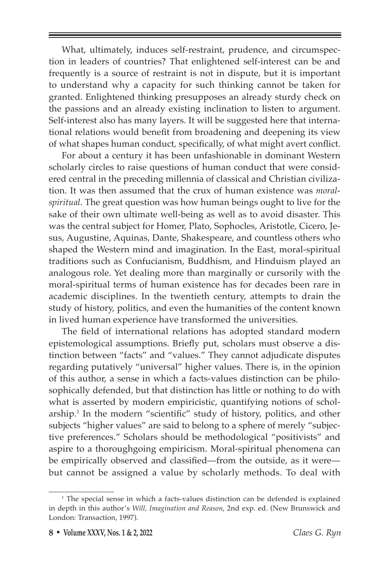What, ultimately, induces self-restraint, prudence, and circumspection in leaders of countries? That enlightened self-interest can be and frequently is a source of restraint is not in dispute, but it is important to understand why a capacity for such thinking cannot be taken for granted. Enlightened thinking presupposes an already sturdy check on the passions and an already existing inclination to listen to argument. Self-interest also has many layers. It will be suggested here that international relations would benefit from broadening and deepening its view of what shapes human conduct, specifically, of what might avert conflict.

For about a century it has been unfashionable in dominant Western scholarly circles to raise questions of human conduct that were considered central in the preceding millennia of classical and Christian civilization. It was then assumed that the crux of human existence was *moralspiritual*. The great question was how human beings ought to live for the sake of their own ultimate well-being as well as to avoid disaster. This was the central subject for Homer, Plato, Sophocles, Aristotle, Cicero, Jesus, Augustine, Aquinas, Dante, Shakespeare, and countless others who shaped the Western mind and imagination. In the East, moral-spiritual traditions such as Confucianism, Buddhism, and Hinduism played an analogous role. Yet dealing more than marginally or cursorily with the moral-spiritual terms of human existence has for decades been rare in academic disciplines. In the twentieth century, attempts to drain the study of history, politics, and even the humanities of the content known in lived human experience have transformed the universities.

The field of international relations has adopted standard modern epistemological assumptions. Briefly put, scholars must observe a distinction between "facts" and "values." They cannot adjudicate disputes regarding putatively "universal" higher values. There is, in the opinion of this author, a sense in which a facts-values distinction can be philosophically defended, but that distinction has little or nothing to do with what is asserted by modern empiricistic, quantifying notions of scholarship.<sup>1</sup> In the modern "scientific" study of history, politics, and other subjects "higher values" are said to belong to a sphere of merely "subjective preferences." Scholars should be methodological "positivists" and aspire to a thoroughgoing empiricism. Moral-spiritual phenomena can be empirically observed and classified—from the outside, as it were but cannot be assigned a value by scholarly methods. To deal with

<sup>&</sup>lt;sup>1</sup> The special sense in which a facts-values distinction can be defended is explained in depth in this author's *Will, Imagination and Reason*, 2nd exp. ed. (New Brunswick and London: Transaction, 1997).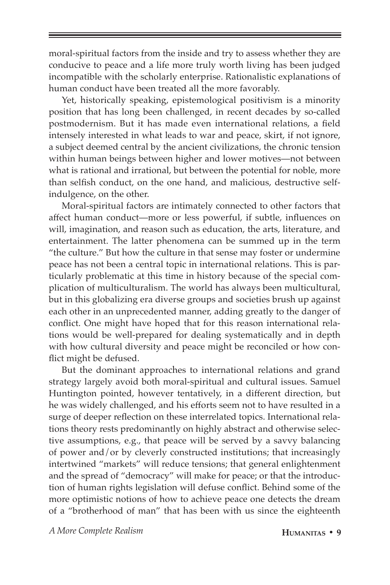moral-spiritual factors from the inside and try to assess whether they are conducive to peace and a life more truly worth living has been judged incompatible with the scholarly enterprise. Rationalistic explanations of human conduct have been treated all the more favorably.

Yet, historically speaking, epistemological positivism is a minority position that has long been challenged, in recent decades by so-called postmodernism. But it has made even international relations, a field intensely interested in what leads to war and peace, skirt, if not ignore, a subject deemed central by the ancient civilizations, the chronic tension within human beings between higher and lower motives—not between what is rational and irrational, but between the potential for noble, more than selfish conduct, on the one hand, and malicious, destructive selfindulgence, on the other.

Moral-spiritual factors are intimately connected to other factors that affect human conduct—more or less powerful, if subtle, influences on will, imagination, and reason such as education, the arts, literature, and entertainment. The latter phenomena can be summed up in the term "the culture." But how the culture in that sense may foster or undermine peace has not been a central topic in international relations. This is particularly problematic at this time in history because of the special complication of multiculturalism. The world has always been multicultural, but in this globalizing era diverse groups and societies brush up against each other in an unprecedented manner, adding greatly to the danger of conflict. One might have hoped that for this reason international relations would be well-prepared for dealing systematically and in depth with how cultural diversity and peace might be reconciled or how conflict might be defused.

But the dominant approaches to international relations and grand strategy largely avoid both moral-spiritual and cultural issues. Samuel Huntington pointed, however tentatively, in a different direction, but he was widely challenged, and his efforts seem not to have resulted in a surge of deeper reflection on these interrelated topics. International relations theory rests predominantly on highly abstract and otherwise selective assumptions, e.g., that peace will be served by a savvy balancing of power and/or by cleverly constructed institutions; that increasingly intertwined "markets" will reduce tensions; that general enlightenment and the spread of "democracy" will make for peace; or that the introduction of human rights legislation will defuse conflict. Behind some of the more optimistic notions of how to achieve peace one detects the dream of a "brotherhood of man" that has been with us since the eighteenth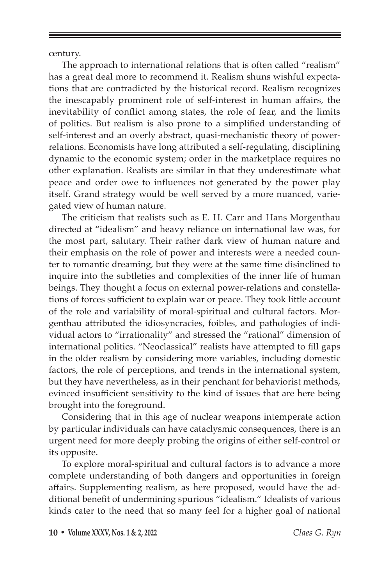century.

The approach to international relations that is often called "realism" has a great deal more to recommend it. Realism shuns wishful expectations that are contradicted by the historical record. Realism recognizes the inescapably prominent role of self-interest in human affairs, the inevitability of conflict among states, the role of fear, and the limits of politics. But realism is also prone to a simplified understanding of self-interest and an overly abstract, quasi-mechanistic theory of powerrelations. Economists have long attributed a self-regulating, disciplining dynamic to the economic system; order in the marketplace requires no other explanation. Realists are similar in that they underestimate what peace and order owe to influences not generated by the power play itself. Grand strategy would be well served by a more nuanced, variegated view of human nature.

The criticism that realists such as E. H. Carr and Hans Morgenthau directed at "idealism" and heavy reliance on international law was, for the most part, salutary. Their rather dark view of human nature and their emphasis on the role of power and interests were a needed counter to romantic dreaming, but they were at the same time disinclined to inquire into the subtleties and complexities of the inner life of human beings. They thought a focus on external power-relations and constellations of forces sufficient to explain war or peace. They took little account of the role and variability of moral-spiritual and cultural factors. Morgenthau attributed the idiosyncracies, foibles, and pathologies of individual actors to "irrationality" and stressed the "rational" dimension of international politics. "Neoclassical" realists have attempted to fill gaps in the older realism by considering more variables, including domestic factors, the role of perceptions, and trends in the international system, but they have nevertheless, as in their penchant for behaviorist methods, evinced insufficient sensitivity to the kind of issues that are here being brought into the foreground.

Considering that in this age of nuclear weapons intemperate action by particular individuals can have cataclysmic consequences, there is an urgent need for more deeply probing the origins of either self-control or its opposite.

To explore moral-spiritual and cultural factors is to advance a more complete understanding of both dangers and opportunities in foreign affairs. Supplementing realism, as here proposed, would have the additional benefit of undermining spurious "idealism." Idealists of various kinds cater to the need that so many feel for a higher goal of national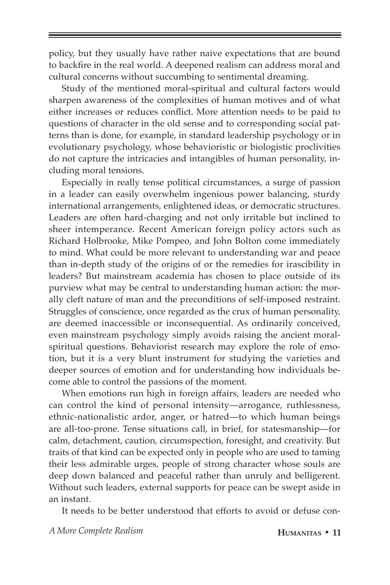policy, but they usually have rather naive expectations that are bound to backfire in the real world. A deepened realism can address moral and cultural concerns without succumbing to sentimental dreaming.

Study of the mentioned moral-spiritual and cultural factors would sharpen awareness of the complexities of human motives and of what either increases or reduces conflict. More attention needs to be paid to questions of character in the old sense and to corresponding social patterns than is done, for example, in standard leadership psychology or in evolutionary psychology, whose behavioristic or biologistic proclivities do not capture the intricacies and intangibles of human personality, including moral tensions.

Especially in really tense political circumstances, a surge of passion in a leader can easily overwhelm ingenious power balancing, sturdy international arrangements, enlightened ideas, or democratic structures. Leaders are often hard-charging and not only irritable but inclined to sheer intemperance. Recent American foreign policy actors such as Richard Holbrooke, Mike Pompeo, and John Bolton come immediately to mind. What could be more relevant to understanding war and peace than in-depth study of the origins of or the remedies for irascibility in leaders? But mainstream academia has chosen to place outside of its purview what may be central to understanding human action: the morally cleft nature of man and the preconditions of self-imposed restraint. Struggles of conscience, once regarded as the crux of human personality, are deemed inaccessible or inconsequential. As ordinarily conceived, even mainstream psychology simply avoids raising the ancient moralspiritual questions. Behaviorist research may explore the role of emotion, but it is a very blunt instrument for studying the varieties and deeper sources of emotion and for understanding how individuals become able to control the passions of the moment.

When emotions run high in foreign affairs, leaders are needed who can control the kind of personal intensity—arrogance, ruthlessness, ethnic-nationalistic ardor, anger, or hatred—to which human beings are all-too-prone. Tense situations call, in brief, for statesmanship—for calm, detachment, caution, circumspection, foresight, and creativity. But traits of that kind can be expected only in people who are used to taming their less admirable urges, people of strong character whose souls are deep down balanced and peaceful rather than unruly and belligerent. Without such leaders, external supports for peace can be swept aside in an instant.

It needs to be better understood that efforts to avoid or defuse con-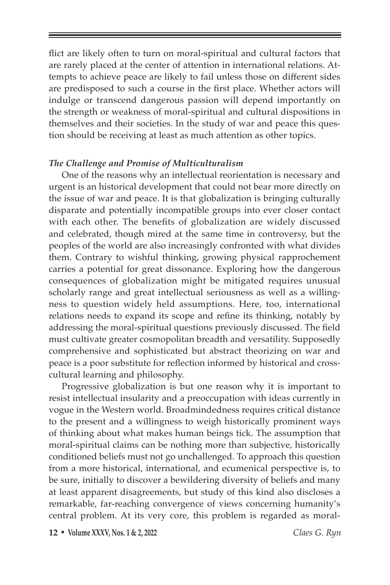flict are likely often to turn on moral-spiritual and cultural factors that are rarely placed at the center of attention in international relations. Attempts to achieve peace are likely to fail unless those on different sides are predisposed to such a course in the first place. Whether actors will indulge or transcend dangerous passion will depend importantly on the strength or weakness of moral-spiritual and cultural dispositions in themselves and their societies. In the study of war and peace this question should be receiving at least as much attention as other topics.

#### *The Challenge and Promise of Multiculturalism*

One of the reasons why an intellectual reorientation is necessary and urgent is an historical development that could not bear more directly on the issue of war and peace. It is that globalization is bringing culturally disparate and potentially incompatible groups into ever closer contact with each other. The benefits of globalization are widely discussed and celebrated, though mired at the same time in controversy, but the peoples of the world are also increasingly confronted with what divides them. Contrary to wishful thinking, growing physical rapprochement carries a potential for great dissonance. Exploring how the dangerous consequences of globalization might be mitigated requires unusual scholarly range and great intellectual seriousness as well as a willingness to question widely held assumptions. Here, too, international relations needs to expand its scope and refine its thinking, notably by addressing the moral-spiritual questions previously discussed. The field must cultivate greater cosmopolitan breadth and versatility. Supposedly comprehensive and sophisticated but abstract theorizing on war and peace is a poor substitute for reflection informed by historical and crosscultural learning and philosophy.

Progressive globalization is but one reason why it is important to resist intellectual insularity and a preoccupation with ideas currently in vogue in the Western world. Broadmindedness requires critical distance to the present and a willingness to weigh historically prominent ways of thinking about what makes human beings tick. The assumption that moral-spiritual claims can be nothing more than subjective, historically conditioned beliefs must not go unchallenged. To approach this question from a more historical, international, and ecumenical perspective is, to be sure, initially to discover a bewildering diversity of beliefs and many at least apparent disagreements, but study of this kind also discloses a remarkable, far-reaching convergence of views concerning humanity's central problem. At its very core, this problem is regarded as moral-

**12 • Volume XXXV, Nos. 1 & 2, 2022** *Claes G. Ryn*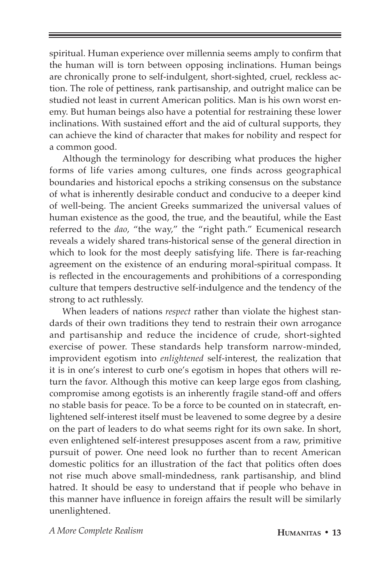spiritual. Human experience over millennia seems amply to confirm that the human will is torn between opposing inclinations. Human beings are chronically prone to self-indulgent, short-sighted, cruel, reckless action. The role of pettiness, rank partisanship, and outright malice can be studied not least in current American politics. Man is his own worst enemy. But human beings also have a potential for restraining these lower inclinations. With sustained effort and the aid of cultural supports, they can achieve the kind of character that makes for nobility and respect for a common good.

Although the terminology for describing what produces the higher forms of life varies among cultures, one finds across geographical boundaries and historical epochs a striking consensus on the substance of what is inherently desirable conduct and conducive to a deeper kind of well-being. The ancient Greeks summarized the universal values of human existence as the good, the true, and the beautiful, while the East referred to the *dao*, "the way," the "right path." Ecumenical research reveals a widely shared trans-historical sense of the general direction in which to look for the most deeply satisfying life. There is far-reaching agreement on the existence of an enduring moral-spiritual compass. It is reflected in the encouragements and prohibitions of a corresponding culture that tempers destructive self-indulgence and the tendency of the strong to act ruthlessly.

When leaders of nations *respect* rather than violate the highest standards of their own traditions they tend to restrain their own arrogance and partisanship and reduce the incidence of crude, short-sighted exercise of power. These standards help transform narrow-minded, improvident egotism into *enlightened* self-interest, the realization that it is in one's interest to curb one's egotism in hopes that others will return the favor. Although this motive can keep large egos from clashing, compromise among egotists is an inherently fragile stand-off and offers no stable basis for peace. To be a force to be counted on in statecraft, enlightened self-interest itself must be leavened to some degree by a desire on the part of leaders to do what seems right for its own sake. In short, even enlightened self-interest presupposes ascent from a raw, primitive pursuit of power. One need look no further than to recent American domestic politics for an illustration of the fact that politics often does not rise much above small-mindedness, rank partisanship, and blind hatred. It should be easy to understand that if people who behave in this manner have influence in foreign affairs the result will be similarly unenlightened.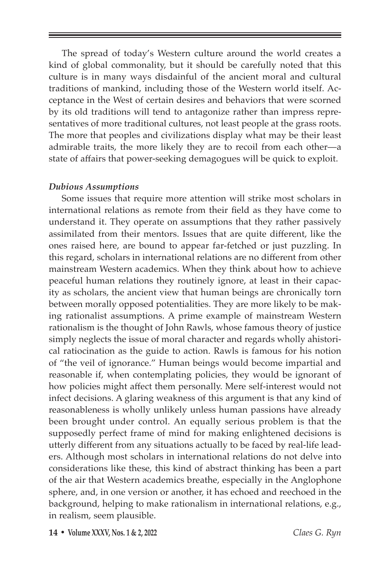The spread of today's Western culture around the world creates a kind of global commonality, but it should be carefully noted that this culture is in many ways disdainful of the ancient moral and cultural traditions of mankind, including those of the Western world itself. Acceptance in the West of certain desires and behaviors that were scorned by its old traditions will tend to antagonize rather than impress representatives of more traditional cultures, not least people at the grass roots. The more that peoples and civilizations display what may be their least admirable traits, the more likely they are to recoil from each other—a state of affairs that power-seeking demagogues will be quick to exploit.

#### *Dubious Assumptions*

Some issues that require more attention will strike most scholars in international relations as remote from their field as they have come to understand it. They operate on assumptions that they rather passively assimilated from their mentors. Issues that are quite different, like the ones raised here, are bound to appear far-fetched or just puzzling. In this regard, scholars in international relations are no different from other mainstream Western academics. When they think about how to achieve peaceful human relations they routinely ignore, at least in their capacity as scholars, the ancient view that human beings are chronically torn between morally opposed potentialities. They are more likely to be making rationalist assumptions. A prime example of mainstream Western rationalism is the thought of John Rawls, whose famous theory of justice simply neglects the issue of moral character and regards wholly ahistorical ratiocination as the guide to action. Rawls is famous for his notion of "the veil of ignorance." Human beings would become impartial and reasonable if, when contemplating policies, they would be ignorant of how policies might affect them personally. Mere self-interest would not infect decisions. A glaring weakness of this argument is that any kind of reasonableness is wholly unlikely unless human passions have already been brought under control. An equally serious problem is that the supposedly perfect frame of mind for making enlightened decisions is utterly different from any situations actually to be faced by real-life leaders. Although most scholars in international relations do not delve into considerations like these, this kind of abstract thinking has been a part of the air that Western academics breathe, especially in the Anglophone sphere, and, in one version or another, it has echoed and reechoed in the background, helping to make rationalism in international relations, e.g., in realism, seem plausible.

**14 • Volume XXXV, Nos. 1 & 2, 2022** *Claes G. Ryn*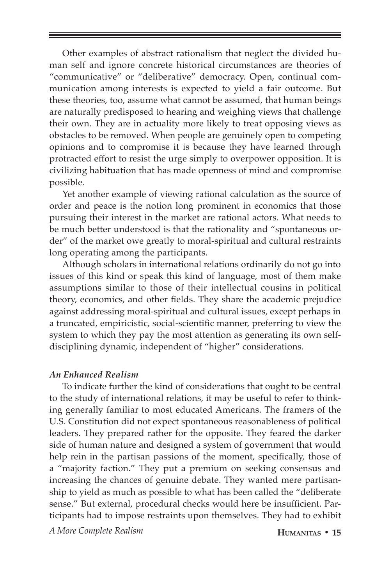Other examples of abstract rationalism that neglect the divided human self and ignore concrete historical circumstances are theories of "communicative" or "deliberative" democracy. Open, continual communication among interests is expected to yield a fair outcome. But these theories, too, assume what cannot be assumed, that human beings are naturally predisposed to hearing and weighing views that challenge their own. They are in actuality more likely to treat opposing views as obstacles to be removed. When people are genuinely open to competing opinions and to compromise it is because they have learned through protracted effort to resist the urge simply to overpower opposition. It is civilizing habituation that has made openness of mind and compromise possible.

Yet another example of viewing rational calculation as the source of order and peace is the notion long prominent in economics that those pursuing their interest in the market are rational actors. What needs to be much better understood is that the rationality and "spontaneous order" of the market owe greatly to moral-spiritual and cultural restraints long operating among the participants.

Although scholars in international relations ordinarily do not go into issues of this kind or speak this kind of language, most of them make assumptions similar to those of their intellectual cousins in political theory, economics, and other fields. They share the academic prejudice against addressing moral-spiritual and cultural issues, except perhaps in a truncated, empiricistic, social-scientific manner, preferring to view the system to which they pay the most attention as generating its own selfdisciplining dynamic, independent of "higher" considerations.

#### *An Enhanced Realism*

To indicate further the kind of considerations that ought to be central to the study of international relations, it may be useful to refer to thinking generally familiar to most educated Americans. The framers of the U.S. Constitution did not expect spontaneous reasonableness of political leaders. They prepared rather for the opposite. They feared the darker side of human nature and designed a system of government that would help rein in the partisan passions of the moment, specifically, those of a "majority faction." They put a premium on seeking consensus and increasing the chances of genuine debate. They wanted mere partisanship to yield as much as possible to what has been called the "deliberate sense." But external, procedural checks would here be insufficient. Participants had to impose restraints upon themselves. They had to exhibit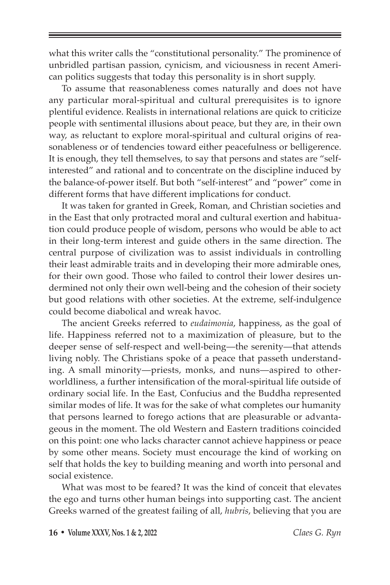what this writer calls the "constitutional personality." The prominence of unbridled partisan passion, cynicism, and viciousness in recent American politics suggests that today this personality is in short supply.

To assume that reasonableness comes naturally and does not have any particular moral-spiritual and cultural prerequisites is to ignore plentiful evidence. Realists in international relations are quick to criticize people with sentimental illusions about peace, but they are, in their own way, as reluctant to explore moral-spiritual and cultural origins of reasonableness or of tendencies toward either peacefulness or belligerence. It is enough, they tell themselves, to say that persons and states are "selfinterested" and rational and to concentrate on the discipline induced by the balance-of-power itself. But both "self-interest" and "power" come in different forms that have different implications for conduct.

It was taken for granted in Greek, Roman, and Christian societies and in the East that only protracted moral and cultural exertion and habituation could produce people of wisdom, persons who would be able to act in their long-term interest and guide others in the same direction. The central purpose of civilization was to assist individuals in controlling their least admirable traits and in developing their more admirable ones, for their own good. Those who failed to control their lower desires undermined not only their own well-being and the cohesion of their society but good relations with other societies. At the extreme, self-indulgence could become diabolical and wreak havoc.

The ancient Greeks referred to *eudaimonia*, happiness, as the goal of life. Happiness referred not to a maximization of pleasure, but to the deeper sense of self-respect and well-being—the serenity—that attends living nobly. The Christians spoke of a peace that passeth understanding. A small minority—priests, monks, and nuns—aspired to otherworldliness, a further intensification of the moral-spiritual life outside of ordinary social life. In the East, Confucius and the Buddha represented similar modes of life. It was for the sake of what completes our humanity that persons learned to forego actions that are pleasurable or advantageous in the moment. The old Western and Eastern traditions coincided on this point: one who lacks character cannot achieve happiness or peace by some other means. Society must encourage the kind of working on self that holds the key to building meaning and worth into personal and social existence.

What was most to be feared? It was the kind of conceit that elevates the ego and turns other human beings into supporting cast. The ancient Greeks warned of the greatest failing of all, *hubris*, believing that you are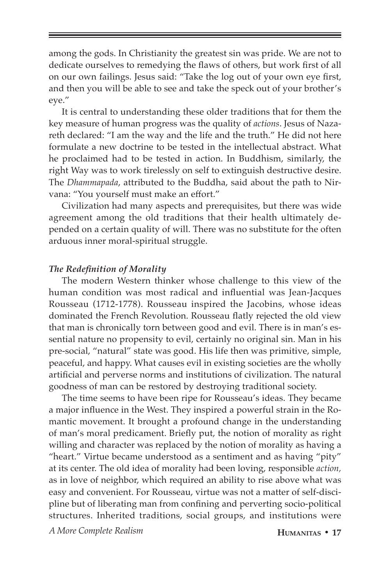among the gods. In Christianity the greatest sin was pride. We are not to dedicate ourselves to remedying the flaws of others, but work first of all on our own failings. Jesus said: "Take the log out of your own eye first, and then you will be able to see and take the speck out of your brother's eye."

It is central to understanding these older traditions that for them the key measure of human progress was the quality of *actions*. Jesus of Nazareth declared: "I am the way and the life and the truth." He did not here formulate a new doctrine to be tested in the intellectual abstract. What he proclaimed had to be tested in action. In Buddhism, similarly, the right Way was to work tirelessly on self to extinguish destructive desire. The *Dhammapada*, attributed to the Buddha, said about the path to Nirvana: "You yourself must make an effort."

Civilization had many aspects and prerequisites, but there was wide agreement among the old traditions that their health ultimately depended on a certain quality of will. There was no substitute for the often arduous inner moral-spiritual struggle.

# *The Redefinition of Morality*

The modern Western thinker whose challenge to this view of the human condition was most radical and influential was Jean-Jacques Rousseau (1712-1778). Rousseau inspired the Jacobins, whose ideas dominated the French Revolution. Rousseau flatly rejected the old view that man is chronically torn between good and evil. There is in man's essential nature no propensity to evil, certainly no original sin. Man in his pre-social, "natural" state was good. His life then was primitive, simple, peaceful, and happy. What causes evil in existing societies are the wholly artificial and perverse norms and institutions of civilization. The natural goodness of man can be restored by destroying traditional society.

The time seems to have been ripe for Rousseau's ideas. They became a major influence in the West. They inspired a powerful strain in the Romantic movement. It brought a profound change in the understanding of man's moral predicament. Briefly put, the notion of morality as right willing and character was replaced by the notion of morality as having a "heart." Virtue became understood as a sentiment and as having "pity" at its center. The old idea of morality had been loving, responsible *action,*  as in love of neighbor, which required an ability to rise above what was easy and convenient. For Rousseau, virtue was not a matter of self-discipline but of liberating man from confining and perverting socio-political structures. Inherited traditions, social groups, and institutions were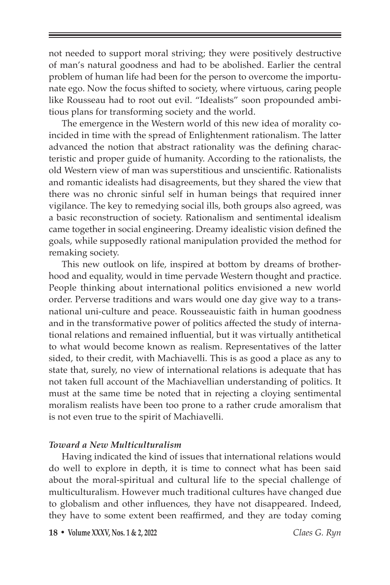not needed to support moral striving; they were positively destructive of man's natural goodness and had to be abolished. Earlier the central problem of human life had been for the person to overcome the importunate ego. Now the focus shifted to society, where virtuous, caring people like Rousseau had to root out evil. "Idealists" soon propounded ambitious plans for transforming society and the world.

The emergence in the Western world of this new idea of morality coincided in time with the spread of Enlightenment rationalism. The latter advanced the notion that abstract rationality was the defining characteristic and proper guide of humanity. According to the rationalists, the old Western view of man was superstitious and unscientific. Rationalists and romantic idealists had disagreements, but they shared the view that there was no chronic sinful self in human beings that required inner vigilance. The key to remedying social ills, both groups also agreed, was a basic reconstruction of society. Rationalism and sentimental idealism came together in social engineering. Dreamy idealistic vision defined the goals, while supposedly rational manipulation provided the method for remaking society.

This new outlook on life, inspired at bottom by dreams of brotherhood and equality, would in time pervade Western thought and practice. People thinking about international politics envisioned a new world order. Perverse traditions and wars would one day give way to a transnational uni-culture and peace. Rousseauistic faith in human goodness and in the transformative power of politics affected the study of international relations and remained influential, but it was virtually antithetical to what would become known as realism. Representatives of the latter sided, to their credit, with Machiavelli. This is as good a place as any to state that, surely, no view of international relations is adequate that has not taken full account of the Machiavellian understanding of politics. It must at the same time be noted that in rejecting a cloying sentimental moralism realists have been too prone to a rather crude amoralism that is not even true to the spirit of Machiavelli.

#### *Toward a New Multiculturalism*

Having indicated the kind of issues that international relations would do well to explore in depth, it is time to connect what has been said about the moral-spiritual and cultural life to the special challenge of multiculturalism. However much traditional cultures have changed due to globalism and other influences, they have not disappeared. Indeed, they have to some extent been reaffirmed, and they are today coming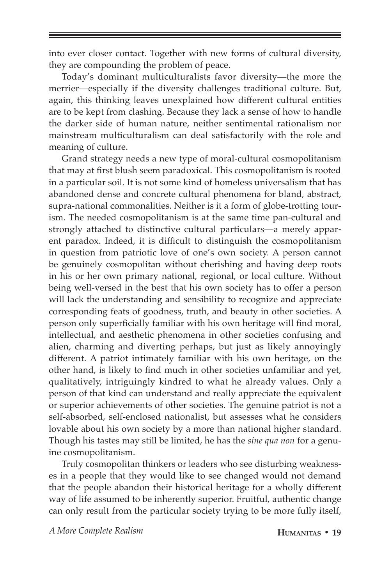into ever closer contact. Together with new forms of cultural diversity, they are compounding the problem of peace.

Today's dominant multiculturalists favor diversity—the more the merrier—especially if the diversity challenges traditional culture. But, again, this thinking leaves unexplained how different cultural entities are to be kept from clashing. Because they lack a sense of how to handle the darker side of human nature, neither sentimental rationalism nor mainstream multiculturalism can deal satisfactorily with the role and meaning of culture.

Grand strategy needs a new type of moral-cultural cosmopolitanism that may at first blush seem paradoxical. This cosmopolitanism is rooted in a particular soil. It is not some kind of homeless universalism that has abandoned dense and concrete cultural phenomena for bland, abstract, supra-national commonalities. Neither is it a form of globe-trotting tourism. The needed cosmopolitanism is at the same time pan-cultural and strongly attached to distinctive cultural particulars—a merely apparent paradox. Indeed, it is difficult to distinguish the cosmopolitanism in question from patriotic love of one's own society. A person cannot be genuinely cosmopolitan without cherishing and having deep roots in his or her own primary national, regional, or local culture. Without being well-versed in the best that his own society has to offer a person will lack the understanding and sensibility to recognize and appreciate corresponding feats of goodness, truth, and beauty in other societies. A person only superficially familiar with his own heritage will find moral, intellectual, and aesthetic phenomena in other societies confusing and alien, charming and diverting perhaps, but just as likely annoyingly different. A patriot intimately familiar with his own heritage, on the other hand, is likely to find much in other societies unfamiliar and yet, qualitatively, intriguingly kindred to what he already values. Only a person of that kind can understand and really appreciate the equivalent or superior achievements of other societies. The genuine patriot is not a self-absorbed, self-enclosed nationalist, but assesses what he considers lovable about his own society by a more than national higher standard. Though his tastes may still be limited, he has the *sine qua non* for a genuine cosmopolitanism.

Truly cosmopolitan thinkers or leaders who see disturbing weaknesses in a people that they would like to see changed would not demand that the people abandon their historical heritage for a wholly different way of life assumed to be inherently superior. Fruitful, authentic change can only result from the particular society trying to be more fully itself,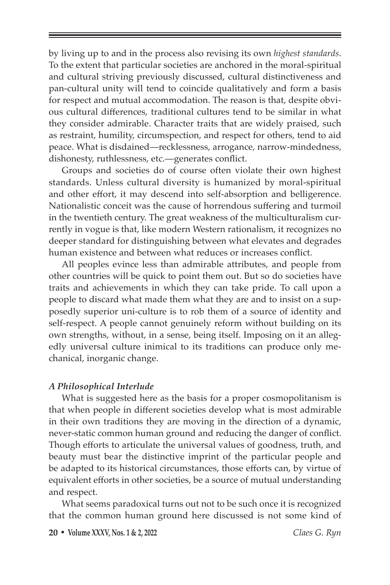by living up to and in the process also revising its own *highest standards*. To the extent that particular societies are anchored in the moral-spiritual and cultural striving previously discussed, cultural distinctiveness and pan-cultural unity will tend to coincide qualitatively and form a basis for respect and mutual accommodation. The reason is that, despite obvious cultural differences, traditional cultures tend to be similar in what they consider admirable. Character traits that are widely praised, such as restraint, humility, circumspection, and respect for others, tend to aid peace. What is disdained—recklessness, arrogance, narrow-mindedness, dishonesty, ruthlessness, etc.—generates conflict.

Groups and societies do of course often violate their own highest standards. Unless cultural diversity is humanized by moral-spiritual and other effort, it may descend into self-absorption and belligerence. Nationalistic conceit was the cause of horrendous suffering and turmoil in the twentieth century. The great weakness of the multiculturalism currently in vogue is that, like modern Western rationalism, it recognizes no deeper standard for distinguishing between what elevates and degrades human existence and between what reduces or increases conflict.

All peoples evince less than admirable attributes, and people from other countries will be quick to point them out. But so do societies have traits and achievements in which they can take pride. To call upon a people to discard what made them what they are and to insist on a supposedly superior uni-culture is to rob them of a source of identity and self-respect. A people cannot genuinely reform without building on its own strengths, without, in a sense, being itself. Imposing on it an allegedly universal culture inimical to its traditions can produce only mechanical, inorganic change.

#### *A Philosophical Interlude*

What is suggested here as the basis for a proper cosmopolitanism is that when people in different societies develop what is most admirable in their own traditions they are moving in the direction of a dynamic, never-static common human ground and reducing the danger of conflict. Though efforts to articulate the universal values of goodness, truth, and beauty must bear the distinctive imprint of the particular people and be adapted to its historical circumstances, those efforts can, by virtue of equivalent efforts in other societies, be a source of mutual understanding and respect.

What seems paradoxical turns out not to be such once it is recognized that the common human ground here discussed is not some kind of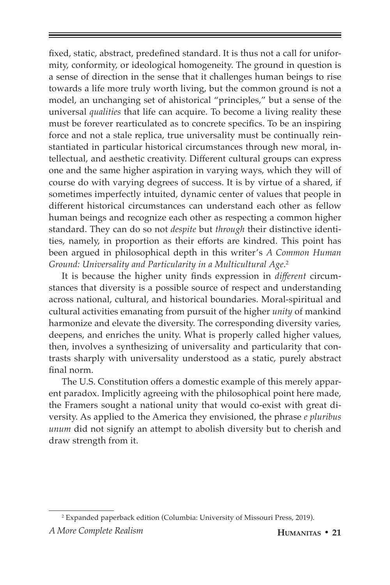fixed, static, abstract, predefined standard. It is thus not a call for uniformity, conformity, or ideological homogeneity. The ground in question is a sense of direction in the sense that it challenges human beings to rise towards a life more truly worth living, but the common ground is not a model, an unchanging set of ahistorical "principles," but a sense of the universal *qualities* that life can acquire. To become a living reality these must be forever rearticulated as to concrete specifics. To be an inspiring force and not a stale replica, true universality must be continually reinstantiated in particular historical circumstances through new moral, intellectual, and aesthetic creativity. Different cultural groups can express one and the same higher aspiration in varying ways, which they will of course do with varying degrees of success. It is by virtue of a shared, if sometimes imperfectly intuited, dynamic center of values that people in different historical circumstances can understand each other as fellow human beings and recognize each other as respecting a common higher standard. They can do so not *despite* but *through* their distinctive identities, namely, in proportion as their efforts are kindred. This point has been argued in philosophical depth in this writer's *A Common Human Ground: Universality and Particularity in a Multicultural Age*. 2

It is because the higher unity finds expression in *different* circumstances that diversity is a possible source of respect and understanding across national, cultural, and historical boundaries. Moral-spiritual and cultural activities emanating from pursuit of the higher *unity* of mankind harmonize and elevate the diversity. The corresponding diversity varies, deepens, and enriches the unity. What is properly called higher values, then, involves a synthesizing of universality and particularity that contrasts sharply with universality understood as a static, purely abstract final norm.

The U.S. Constitution offers a domestic example of this merely apparent paradox. Implicitly agreeing with the philosophical point here made, the Framers sought a national unity that would co-exist with great diversity. As applied to the America they envisioned, the phrase *e pluribus unum* did not signify an attempt to abolish diversity but to cherish and draw strength from it.

*A More Complete Realism* **Humanitas • 21** 2 Expanded paperback edition (Columbia: University of Missouri Press, 2019).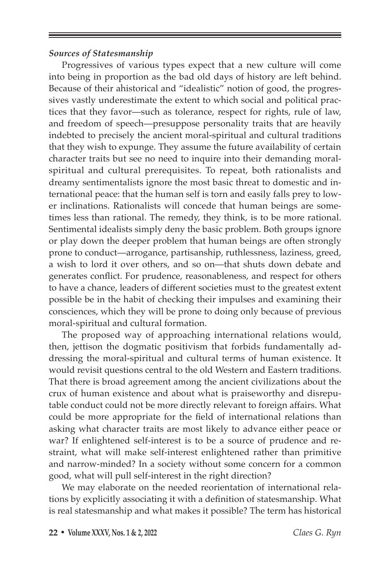# *Sources of Statesmanship*

Progressives of various types expect that a new culture will come into being in proportion as the bad old days of history are left behind. Because of their ahistorical and "idealistic" notion of good, the progressives vastly underestimate the extent to which social and political practices that they favor—such as tolerance, respect for rights, rule of law, and freedom of speech—presuppose personality traits that are heavily indebted to precisely the ancient moral-spiritual and cultural traditions that they wish to expunge. They assume the future availability of certain character traits but see no need to inquire into their demanding moralspiritual and cultural prerequisites. To repeat, both rationalists and dreamy sentimentalists ignore the most basic threat to domestic and international peace: that the human self is torn and easily falls prey to lower inclinations. Rationalists will concede that human beings are sometimes less than rational. The remedy, they think, is to be more rational. Sentimental idealists simply deny the basic problem. Both groups ignore or play down the deeper problem that human beings are often strongly prone to conduct—arrogance, partisanship, ruthlessness, laziness, greed, a wish to lord it over others, and so on—that shuts down debate and generates conflict. For prudence, reasonableness, and respect for others to have a chance, leaders of different societies must to the greatest extent possible be in the habit of checking their impulses and examining their consciences, which they will be prone to doing only because of previous moral-spiritual and cultural formation.

The proposed way of approaching international relations would, then, jettison the dogmatic positivism that forbids fundamentally addressing the moral-spiritual and cultural terms of human existence. It would revisit questions central to the old Western and Eastern traditions. That there is broad agreement among the ancient civilizations about the crux of human existence and about what is praiseworthy and disreputable conduct could not be more directly relevant to foreign affairs. What could be more appropriate for the field of international relations than asking what character traits are most likely to advance either peace or war? If enlightened self-interest is to be a source of prudence and restraint, what will make self-interest enlightened rather than primitive and narrow-minded? In a society without some concern for a common good, what will pull self-interest in the right direction?

We may elaborate on the needed reorientation of international relations by explicitly associating it with a definition of statesmanship. What is real statesmanship and what makes it possible? The term has historical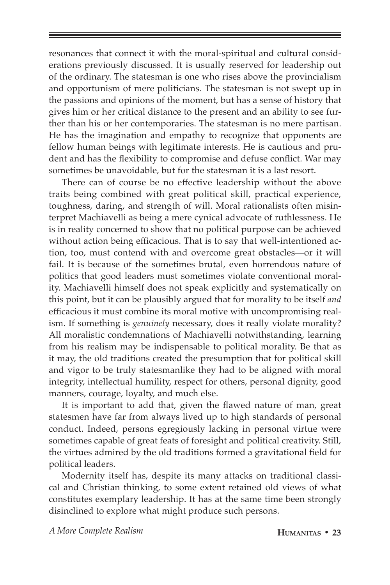resonances that connect it with the moral-spiritual and cultural considerations previously discussed. It is usually reserved for leadership out of the ordinary. The statesman is one who rises above the provincialism and opportunism of mere politicians. The statesman is not swept up in the passions and opinions of the moment, but has a sense of history that gives him or her critical distance to the present and an ability to see further than his or her contemporaries. The statesman is no mere partisan. He has the imagination and empathy to recognize that opponents are fellow human beings with legitimate interests. He is cautious and prudent and has the flexibility to compromise and defuse conflict. War may sometimes be unavoidable, but for the statesman it is a last resort.

There can of course be no effective leadership without the above traits being combined with great political skill, practical experience, toughness, daring, and strength of will. Moral rationalists often misinterpret Machiavelli as being a mere cynical advocate of ruthlessness. He is in reality concerned to show that no political purpose can be achieved without action being efficacious. That is to say that well-intentioned action, too, must contend with and overcome great obstacles—or it will fail. It is because of the sometimes brutal, even horrendous nature of politics that good leaders must sometimes violate conventional morality. Machiavelli himself does not speak explicitly and systematically on this point, but it can be plausibly argued that for morality to be itself *and* efficacious it must combine its moral motive with uncompromising realism. If something is *genuinely* necessary, does it really violate morality? All moralistic condemnations of Machiavelli notwithstanding, learning from his realism may be indispensable to political morality. Be that as it may, the old traditions created the presumption that for political skill and vigor to be truly statesmanlike they had to be aligned with moral integrity, intellectual humility, respect for others, personal dignity, good manners, courage, loyalty, and much else.

It is important to add that, given the flawed nature of man, great statesmen have far from always lived up to high standards of personal conduct. Indeed, persons egregiously lacking in personal virtue were sometimes capable of great feats of foresight and political creativity. Still, the virtues admired by the old traditions formed a gravitational field for political leaders.

Modernity itself has, despite its many attacks on traditional classical and Christian thinking, to some extent retained old views of what constitutes exemplary leadership. It has at the same time been strongly disinclined to explore what might produce such persons.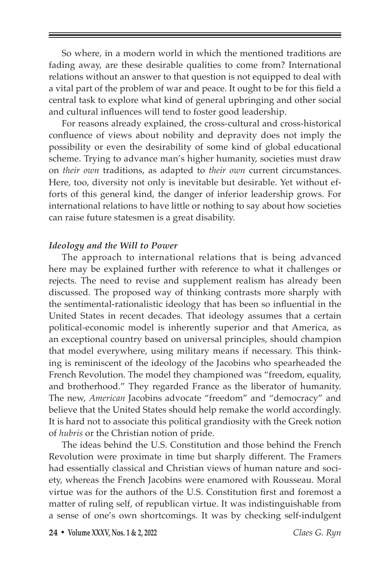So where, in a modern world in which the mentioned traditions are fading away, are these desirable qualities to come from? International relations without an answer to that question is not equipped to deal with a vital part of the problem of war and peace. It ought to be for this field a central task to explore what kind of general upbringing and other social and cultural influences will tend to foster good leadership.

For reasons already explained, the cross-cultural and cross-historical confluence of views about nobility and depravity does not imply the possibility or even the desirability of some kind of global educational scheme. Trying to advance man's higher humanity, societies must draw on *their own* traditions, as adapted to *their own* current circumstances. Here, too, diversity not only is inevitable but desirable. Yet without efforts of this general kind, the danger of inferior leadership grows. For international relations to have little or nothing to say about how societies can raise future statesmen is a great disability.

## *Ideology and the Will to Power*

The approach to international relations that is being advanced here may be explained further with reference to what it challenges or rejects. The need to revise and supplement realism has already been discussed. The proposed way of thinking contrasts more sharply with the sentimental-rationalistic ideology that has been so influential in the United States in recent decades. That ideology assumes that a certain political-economic model is inherently superior and that America, as an exceptional country based on universal principles, should champion that model everywhere, using military means if necessary. This thinking is reminiscent of the ideology of the Jacobins who spearheaded the French Revolution. The model they championed was "freedom, equality, and brotherhood." They regarded France as the liberator of humanity. The new, *American* Jacobins advocate "freedom" and "democracy" and believe that the United States should help remake the world accordingly. It is hard not to associate this political grandiosity with the Greek notion of *hubris* or the Christian notion of pride.

The ideas behind the U.S. Constitution and those behind the French Revolution were proximate in time but sharply different. The Framers had essentially classical and Christian views of human nature and society, whereas the French Jacobins were enamored with Rousseau. Moral virtue was for the authors of the U.S. Constitution first and foremost a matter of ruling self, of republican virtue. It was indistinguishable from a sense of one's own shortcomings. It was by checking self-indulgent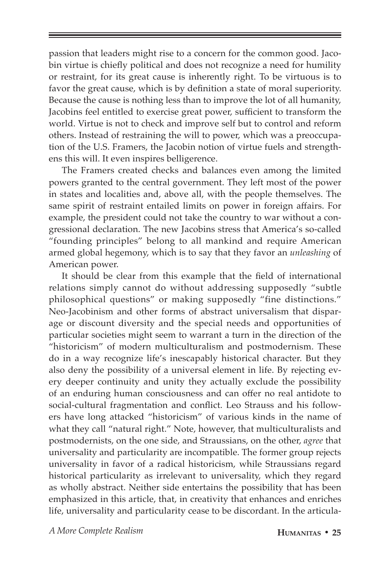passion that leaders might rise to a concern for the common good. Jacobin virtue is chiefly political and does not recognize a need for humility or restraint, for its great cause is inherently right. To be virtuous is to favor the great cause, which is by definition a state of moral superiority. Because the cause is nothing less than to improve the lot of all humanity, Jacobins feel entitled to exercise great power, sufficient to transform the world. Virtue is not to check and improve self but to control and reform others. Instead of restraining the will to power, which was a preoccupation of the U.S. Framers, the Jacobin notion of virtue fuels and strengthens this will. It even inspires belligerence.

The Framers created checks and balances even among the limited powers granted to the central government. They left most of the power in states and localities and, above all, with the people themselves. The same spirit of restraint entailed limits on power in foreign affairs. For example, the president could not take the country to war without a congressional declaration. The new Jacobins stress that America's so-called "founding principles" belong to all mankind and require American armed global hegemony, which is to say that they favor an *unleashing* of American power.

It should be clear from this example that the field of international relations simply cannot do without addressing supposedly "subtle philosophical questions" or making supposedly "fine distinctions." Neo-Jacobinism and other forms of abstract universalism that disparage or discount diversity and the special needs and opportunities of particular societies might seem to warrant a turn in the direction of the "historicism" of modern multiculturalism and postmodernism. These do in a way recognize life's inescapably historical character. But they also deny the possibility of a universal element in life. By rejecting every deeper continuity and unity they actually exclude the possibility of an enduring human consciousness and can offer no real antidote to social-cultural fragmentation and conflict. Leo Strauss and his followers have long attacked "historicism" of various kinds in the name of what they call "natural right." Note, however, that multiculturalists and postmodernists, on the one side, and Straussians, on the other, *agree* that universality and particularity are incompatible. The former group rejects universality in favor of a radical historicism, while Straussians regard historical particularity as irrelevant to universality, which they regard as wholly abstract. Neither side entertains the possibility that has been emphasized in this article, that, in creativity that enhances and enriches life, universality and particularity cease to be discordant. In the articula-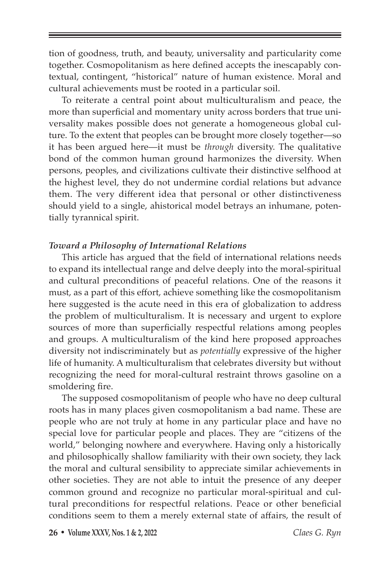tion of goodness, truth, and beauty, universality and particularity come together. Cosmopolitanism as here defined accepts the inescapably contextual, contingent, "historical" nature of human existence. Moral and cultural achievements must be rooted in a particular soil.

To reiterate a central point about multiculturalism and peace, the more than superficial and momentary unity across borders that true universality makes possible does not generate a homogeneous global culture. To the extent that peoples can be brought more closely together—so it has been argued here—it must be *through* diversity. The qualitative bond of the common human ground harmonizes the diversity. When persons, peoples, and civilizations cultivate their distinctive selfhood at the highest level, they do not undermine cordial relations but advance them. The very different idea that personal or other distinctiveness should yield to a single, ahistorical model betrays an inhumane, potentially tyrannical spirit.

# *Toward a Philosophy of International Relations*

This article has argued that the field of international relations needs to expand its intellectual range and delve deeply into the moral-spiritual and cultural preconditions of peaceful relations. One of the reasons it must, as a part of this effort, achieve something like the cosmopolitanism here suggested is the acute need in this era of globalization to address the problem of multiculturalism. It is necessary and urgent to explore sources of more than superficially respectful relations among peoples and groups. A multiculturalism of the kind here proposed approaches diversity not indiscriminately but as *potentially* expressive of the higher life of humanity. A multiculturalism that celebrates diversity but without recognizing the need for moral-cultural restraint throws gasoline on a smoldering fire.

The supposed cosmopolitanism of people who have no deep cultural roots has in many places given cosmopolitanism a bad name. These are people who are not truly at home in any particular place and have no special love for particular people and places. They are "citizens of the world," belonging nowhere and everywhere. Having only a historically and philosophically shallow familiarity with their own society, they lack the moral and cultural sensibility to appreciate similar achievements in other societies. They are not able to intuit the presence of any deeper common ground and recognize no particular moral-spiritual and cultural preconditions for respectful relations. Peace or other beneficial conditions seem to them a merely external state of affairs, the result of

**26 • Volume XXXV, Nos. 1 & 2, 2022** *Claes G. Ryn*